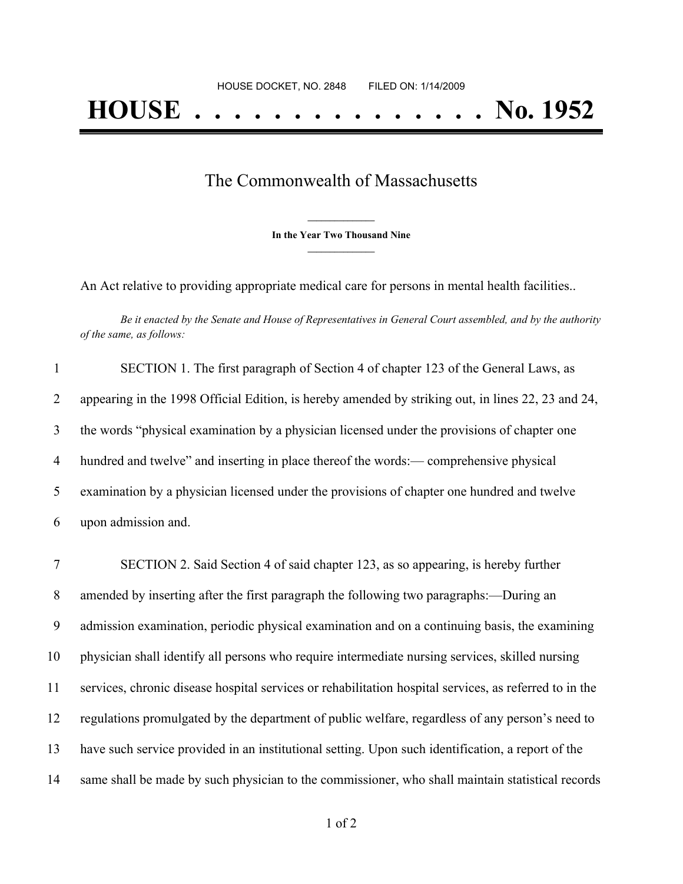## The Commonwealth of Massachusetts

**\_\_\_\_\_\_\_\_\_\_\_\_\_\_\_ In the Year Two Thousand Nine \_\_\_\_\_\_\_\_\_\_\_\_\_\_\_**

An Act relative to providing appropriate medical care for persons in mental health facilities..

Be it enacted by the Senate and House of Representatives in General Court assembled, and by the authority *of the same, as follows:*

| $\mathbf{1}$ | SECTION 1. The first paragraph of Section 4 of chapter 123 of the General Laws, as                 |
|--------------|----------------------------------------------------------------------------------------------------|
| 2            | appearing in the 1998 Official Edition, is hereby amended by striking out, in lines 22, 23 and 24, |
| 3            | the words "physical examination by a physician licensed under the provisions of chapter one        |
| 4            | hundred and twelve" and inserting in place thereof the words:— comprehensive physical              |
| 5            | examination by a physician licensed under the provisions of chapter one hundred and twelve         |
| 6            | upon admission and.                                                                                |
|              |                                                                                                    |

 SECTION 2. Said Section 4 of said chapter 123, as so appearing, is hereby further amended by inserting after the first paragraph the following two paragraphs:—During an admission examination, periodic physical examination and on a continuing basis, the examining physician shall identify all persons who require intermediate nursing services, skilled nursing services, chronic disease hospital services or rehabilitation hospital services, as referred to in the regulations promulgated by the department of public welfare, regardless of any person's need to have such service provided in an institutional setting. Upon such identification, a report of the same shall be made by such physician to the commissioner, who shall maintain statistical records